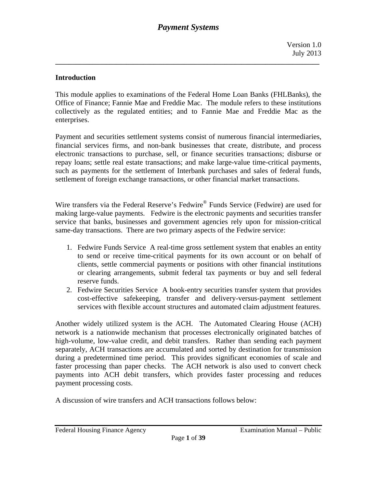#### **Introduction**

This module applies to examinations of the Federal Home Loan Banks (FHLBanks), the Office of Finance; Fannie Mae and Freddie Mac. The module refers to these institutions collectively as the regulated entities; and to Fannie Mae and Freddie Mac as the enterprises.

Payment and securities settlement systems consist of numerous financial intermediaries, financial services firms, and non-bank businesses that create, distribute, and process electronic transactions to purchase, sell, or finance securities transactions; disburse or repay loans; settle real estate transactions; and make large-value time-critical payments, such as payments for the settlement of Interbank purchases and sales of federal funds, settlement of foreign exchange transactions, or other financial market transactions.

Wire transfers via the Federal Reserve's Fedwire<sup>®</sup> Funds Service (Fedwire) are used for making large-value payments. Fedwire is the electronic payments and securities transfer service that banks, businesses and government agencies rely upon for mission-critical same-day transactions. There are two primary aspects of the Fedwire service:

- 1. Fedwire Funds Service A real-time gross settlement system that enables an entity to send or receive time-critical payments for its own account or on behalf of clients, settle commercial payments or positions with other financial institutions or clearing arrangements, submit federal tax payments or buy and sell federal reserve funds.
- 2. Fedwire Securities Service A book-entry securities transfer system that provides cost-effective safekeeping, transfer and delivery-versus-payment settlement services with flexible account structures and automated claim adjustment features.

Another widely utilized system is the ACH. The Automated Clearing House (ACH) network is a nationwide mechanism that processes electronically originated batches of high-volume, low-value credit, and debit transfers. Rather than sending each payment separately, ACH transactions are accumulated and sorted by destination for transmission during a predetermined time period. This provides significant economies of scale and faster processing than paper checks. The ACH network is also used to convert check payments into ACH debit transfers, which provides faster processing and reduces payment processing costs.

A discussion of wire transfers and ACH transactions follows below: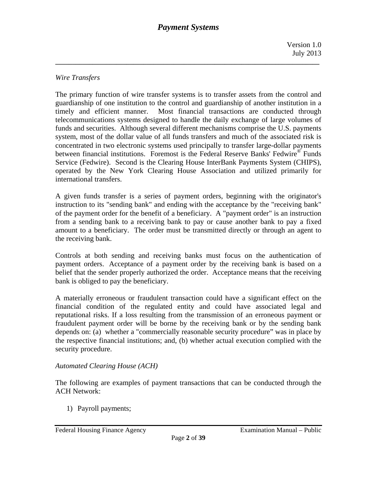**\_\_\_\_\_\_\_\_\_\_\_\_\_\_\_\_\_\_\_\_\_\_\_\_\_\_\_\_\_\_\_\_\_\_\_\_\_\_\_\_\_\_\_\_\_\_\_\_\_\_\_\_\_\_\_\_\_\_\_\_\_\_\_\_\_\_\_\_\_\_\_\_\_\_\_\_\_\_** 

#### *Wire Transfers*

The primary function of wire transfer systems is to transfer assets from the control and guardianship of one institution to the control and guardianship of another institution in a timely and efficient manner. Most financial transactions are conducted through telecommunications systems designed to handle the daily exchange of large volumes of funds and securities. Although several different mechanisms comprise the U.S. payments system, most of the dollar value of all funds transfers and much of the associated risk is concentrated in two electronic systems used principally to transfer large-dollar payments between financial institutions. Foremost is the Federal Reserve Banks' Fedwire<sup>®</sup> Funds Service (Fedwire). Second is the Clearing House InterBank Payments System (CHIPS), operated by the New York Clearing House Association and utilized primarily for international transfers.

A given funds transfer is a series of payment orders, beginning with the originator's instruction to its "sending bank" and ending with the acceptance by the "receiving bank" of the payment order for the benefit of a beneficiary. A "payment order" is an instruction from a sending bank to a receiving bank to pay or cause another bank to pay a fixed amount to a beneficiary. The order must be transmitted directly or through an agent to the receiving bank.

Controls at both sending and receiving banks must focus on the authentication of payment orders. Acceptance of a payment order by the receiving bank is based on a belief that the sender properly authorized the order. Acceptance means that the receiving bank is obliged to pay the beneficiary.

A materially erroneous or fraudulent transaction could have a significant effect on the financial condition of the regulated entity and could have associated legal and reputational risks. If a loss resulting from the transmission of an erroneous payment or fraudulent payment order will be borne by the receiving bank or by the sending bank depends on: (a) whether a "commercially reasonable security procedure" was in place by the respective financial institutions; and, (b) whether actual execution complied with the security procedure.

#### *Automated Clearing House (ACH)*

The following are examples of payment transactions that can be conducted through the ACH Network:

1) Payroll payments;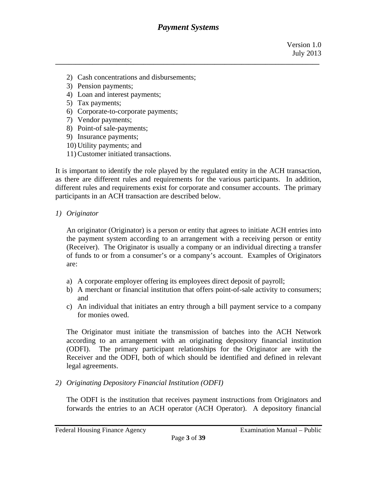- 2) Cash concentrations and disbursements;
- 3) Pension payments;
- 4) Loan and interest payments;
- 5) Tax payments;
- 6) Corporate-to-corporate payments;
- 7) Vendor payments;
- 8) Point-of sale-payments;
- 9) Insurance payments;
- 10) Utility payments; and
- 11) Customer initiated transactions.

It is important to identify the role played by the regulated entity in the ACH transaction, as there are different rules and requirements for the various participants. In addition, different rules and requirements exist for corporate and consumer accounts. The primary participants in an ACH transaction are described below.

#### *1) Originator*

An originator (Originator) is a person or entity that agrees to initiate ACH entries into the payment system according to an arrangement with a receiving person or entity (Receiver). The Originator is usually a company or an individual directing a transfer of funds to or from a consumer's or a company's account. Examples of Originators are:

- a) A corporate employer offering its employees direct deposit of payroll;
- b) A merchant or financial institution that offers point-of-sale activity to consumers; and
- c) An individual that initiates an entry through a bill payment service to a company for monies owed.

The Originator must initiate the transmission of batches into the ACH Network according to an arrangement with an originating depository financial institution (ODFI). The primary participant relationships for the Originator are with the Receiver and the ODFI, both of which should be identified and defined in relevant legal agreements.

 *2) Originating Depository Financial Institution (ODFI)* 

The ODFI is the institution that receives payment instructions from Originators and forwards the entries to an ACH operator (ACH Operator). A depository financial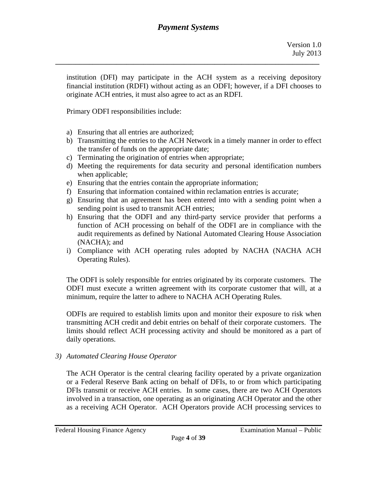institution (DFI) may participate in the ACH system as a receiving depository financial institution (RDFI) without acting as an ODFI; however, if a DFI chooses to originate ACH entries, it must also agree to act as an RDFI.

Primary ODFI responsibilities include:

- a) Ensuring that all entries are authorized;
- b) Transmitting the entries to the ACH Network in a timely manner in order to effect the transfer of funds on the appropriate date;
- c) Terminating the origination of entries when appropriate;
- d) Meeting the requirements for data security and personal identification numbers when applicable;
- e) Ensuring that the entries contain the appropriate information;
- f) Ensuring that information contained within reclamation entries is accurate;
- g) Ensuring that an agreement has been entered into with a sending point when a sending point is used to transmit ACH entries;
- h) Ensuring that the ODFI and any third-party service provider that performs a function of ACH processing on behalf of the ODFI are in compliance with the audit requirements as defined by National Automated Clearing House Association (NACHA); and
- i) Compliance with ACH operating rules adopted by NACHA (NACHA ACH Operating Rules).

The ODFI is solely responsible for entries originated by its corporate customers. The ODFI must execute a written agreement with its corporate customer that will, at a minimum, require the latter to adhere to NACHA ACH Operating Rules.

ODFIs are required to establish limits upon and monitor their exposure to risk when transmitting ACH credit and debit entries on behalf of their corporate customers. The limits should reflect ACH processing activity and should be monitored as a part of daily operations.

#### *3) Automated Clearing House Operator*

The ACH Operator is the central clearing facility operated by a private organization or a Federal Reserve Bank acting on behalf of DFIs, to or from which participating DFIs transmit or receive ACH entries. In some cases, there are two ACH Operators involved in a transaction, one operating as an originating ACH Operator and the other as a receiving ACH Operator. ACH Operators provide ACH processing services to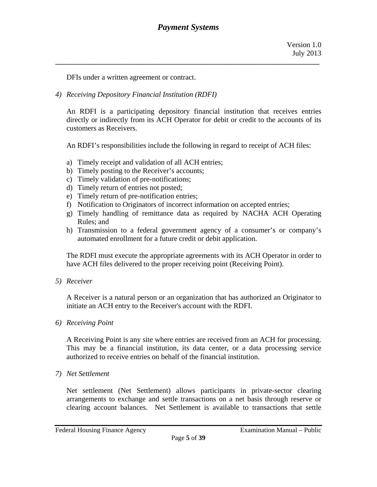DFIs under a written agreement or contract.

 *4) Receiving Depository Financial Institution (RDFI)* 

An RDFI is a participating depository financial institution that receives entries directly or indirectly from its ACH Operator for debit or credit to the accounts of its customers as Receivers.

An RDFI's responsibilities include the following in regard to receipt of ACH files:

- a) Timely receipt and validation of all ACH entries;
- b) Timely posting to the Receiver's accounts;
- c) Timely validation of pre-notifications;
- d) Timely return of entries not posted;
- e) Timely return of pre-notification entries;
- f) Notification to Originators of incorrect information on accepted entries;
- g) Timely handling of remittance data as required by NACHA ACH Operating Rules; and
- h) Transmission to a federal government agency of a consumer's or company's automated enrollment for a future credit or debit application.

The RDFI must execute the appropriate agreements with its ACH Operator in order to have ACH files delivered to the proper receiving point (Receiving Point).

*5) Receiver* 

A Receiver is a natural person or an organization that has authorized an Originator to initiate an ACH entry to the Receiver's account with the RDFI.

*6) Receiving Point* 

A Receiving Point is any site where entries are received from an ACH for processing. This may be a financial institution, its data center, or a data processing service authorized to receive entries on behalf of the financial institution.

*7) Net Settlement* 

Net settlement (Net Settlement) allows participants in private-sector clearing arrangements to exchange and settle transactions on a net basis through reserve or clearing account balances. Net Settlement is available to transactions that settle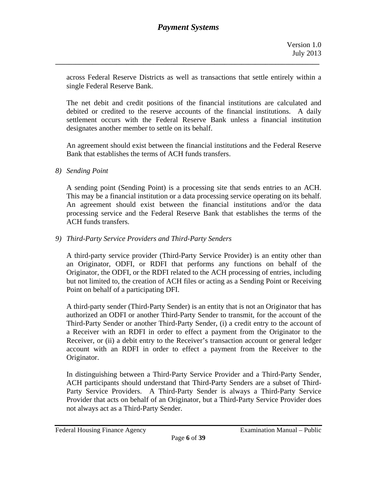across Federal Reserve Districts as well as transactions that settle entirely within a single Federal Reserve Bank.

The net debit and credit positions of the financial institutions are calculated and debited or credited to the reserve accounts of the financial institutions. A daily settlement occurs with the Federal Reserve Bank unless a financial institution designates another member to settle on its behalf.

An agreement should exist between the financial institutions and the Federal Reserve Bank that establishes the terms of ACH funds transfers.

#### *8) Sending Point*

A sending point (Sending Point) is a processing site that sends entries to an ACH. This may be a financial institution or a data processing service operating on its behalf. An agreement should exist between the financial institutions and/or the data processing service and the Federal Reserve Bank that establishes the terms of the ACH funds transfers.

#### *9) Third-Party Service Providers and Third-Party Senders*

A third-party service provider (Third-Party Service Provider) is an entity other than an Originator, ODFI, or RDFI that performs any functions on behalf of the Originator, the ODFI, or the RDFI related to the ACH processing of entries, including but not limited to, the creation of ACH files or acting as a Sending Point or Receiving Point on behalf of a participating DFI.

A third-party sender (Third-Party Sender) is an entity that is not an Originator that has authorized an ODFI or another Third-Party Sender to transmit, for the account of the Third-Party Sender or another Third-Party Sender, (i) a credit entry to the account of a Receiver with an RDFI in order to effect a payment from the Originator to the Receiver, or (ii) a debit entry to the Receiver's transaction account or general ledger account with an RDFI in order to effect a payment from the Receiver to the Originator.

In distinguishing between a Third-Party Service Provider and a Third-Party Sender, ACH participants should understand that Third-Party Senders are a subset of Third-Party Service Providers. A Third-Party Sender is always a Third-Party Service Provider that acts on behalf of an Originator, but a Third-Party Service Provider does not always act as a Third-Party Sender.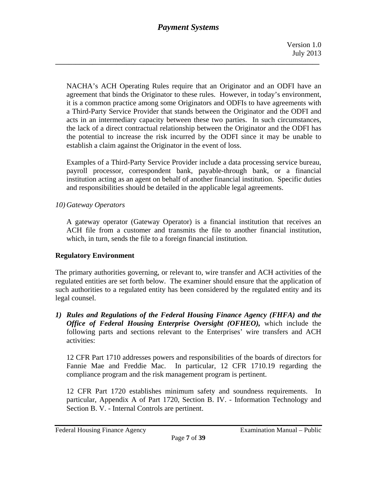NACHA's ACH Operating Rules require that an Originator and an ODFI have an agreement that binds the Originator to these rules. However, in today's environment, it is a common practice among some Originators and ODFIs to have agreements with a Third-Party Service Provider that stands between the Originator and the ODFI and acts in an intermediary capacity between these two parties. In such circumstances, the lack of a direct contractual relationship between the Originator and the ODFI has the potential to increase the risk incurred by the ODFI since it may be unable to establish a claim against the Originator in the event of loss.

Examples of a Third-Party Service Provider include a data processing service bureau, payroll processor, correspondent bank, payable-through bank, or a financial institution acting as an agent on behalf of another financial institution. Specific duties and responsibilities should be detailed in the applicable legal agreements.

#### *10) Gateway Operators*

A gateway operator (Gateway Operator) is a financial institution that receives an ACH file from a customer and transmits the file to another financial institution, which, in turn, sends the file to a foreign financial institution.

## **Regulatory Environment**

The primary authorities governing, or relevant to, wire transfer and ACH activities of the regulated entities are set forth below. The examiner should ensure that the application of such authorities to a regulated entity has been considered by the regulated entity and its legal counsel.

*1) Rules and Regulations of the Federal Housing Finance Agency (FHFA) and the Office of Federal Housing Enterprise Oversight (OFHEO),* which include the following parts and sections relevant to the Enterprises' wire transfers and ACH activities:

12 CFR Part 1710 addresses powers and responsibilities of the boards of directors for Fannie Mae and Freddie Mac. In particular, 12 CFR 1710.19 regarding the compliance program and the risk management program is pertinent.

12 CFR Part 1720 establishes minimum safety and soundness requirements. In particular, Appendix A of Part 1720, Section B. IV. - Information Technology and Section B. V. - Internal Controls are pertinent.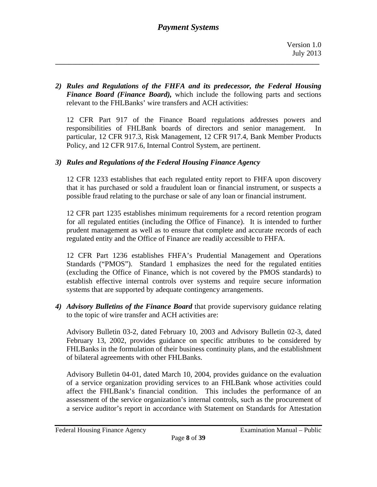*2) Rules and Regulations of the FHFA and its predecessor, the Federal Housing Finance Board (Finance Board),* which include the following parts and sections relevant to the FHLBanks' wire transfers and ACH activities:

**\_\_\_\_\_\_\_\_\_\_\_\_\_\_\_\_\_\_\_\_\_\_\_\_\_\_\_\_\_\_\_\_\_\_\_\_\_\_\_\_\_\_\_\_\_\_\_\_\_\_\_\_\_\_\_\_\_\_\_\_\_\_\_\_\_\_\_\_\_\_\_\_\_\_\_\_\_\_** 

12 CFR Part 917 of the Finance Board regulations addresses powers and responsibilities of FHLBank boards of directors and senior management. In particular, 12 CFR 917.3, Risk Management, 12 CFR 917.4, Bank Member Products Policy, and 12 CFR 917.6, Internal Control System, are pertinent.

#### *3) Rules and Regulations of the Federal Housing Finance Agency*

12 CFR 1233 establishes that each regulated entity report to FHFA upon discovery that it has purchased or sold a fraudulent loan or financial instrument, or suspects a possible fraud relating to the purchase or sale of any loan or financial instrument.

12 CFR part 1235 establishes minimum requirements for a record retention program for all regulated entities (including the Office of Finance). It is intended to further prudent management as well as to ensure that complete and accurate records of each regulated entity and the Office of Finance are readily accessible to FHFA.

12 CFR Part 1236 establishes FHFA's Prudential Management and Operations Standards ("PMOS"). Standard 1 emphasizes the need for the regulated entities (excluding the Office of Finance, which is not covered by the PMOS standards) to establish effective internal controls over systems and require secure information systems that are supported by adequate contingency arrangements.

*4) Advisory Bulletins of the Finance Board* that provide supervisory guidance relating to the topic of wire transfer and ACH activities are:

Advisory Bulletin 03-2, dated February 10, 2003 and Advisory Bulletin 02-3, dated February 13, 2002, provides guidance on specific attributes to be considered by FHLBanks in the formulation of their business continuity plans, and the establishment of bilateral agreements with other FHLBanks.

Advisory Bulletin 04-01, dated March 10, 2004, provides guidance on the evaluation of a service organization providing services to an FHLBank whose activities could affect the FHLBank's financial condition. This includes the performance of an assessment of the service organization's internal controls, such as the procurement of a service auditor's report in accordance with Statement on Standards for Attestation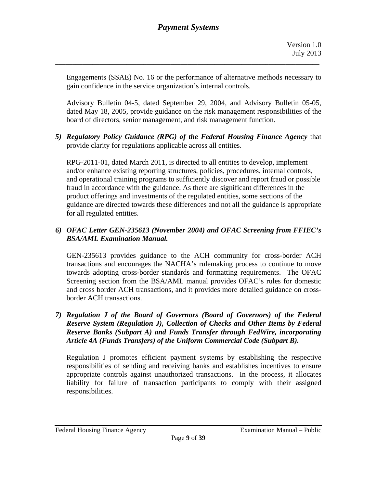Engagements (SSAE) No. 16 or the performance of alternative methods necessary to gain confidence in the service organization's internal controls.

Advisory Bulletin 04-5, dated September 29, 2004, and Advisory Bulletin 05-05, dated May 18, 2005, provide guidance on the risk management responsibilities of the board of directors, senior management, and risk management function.

*5) Regulatory Policy Guidance (RPG) of the Federal Housing Finance Agency* that provide clarity for regulations applicable across all entities.

RPG-2011-01, dated March 2011, is directed to all entities to develop, implement and/or enhance existing reporting structures, policies, procedures, internal controls, and operational training programs to sufficiently discover and report fraud or possible fraud in accordance with the guidance. As there are significant differences in the product offerings and investments of the regulated entities, some sections of the guidance are directed towards these differences and not all the guidance is appropriate for all regulated entities.

### *6) OFAC Letter GEN-235613 (November 2004) and OFAC Screening from FFIEC's BSA/AML Examination Manual.*

GEN-235613 provides guidance to the ACH community for cross-border ACH transactions and encourages the NACHA's rulemaking process to continue to move towards adopting cross-border standards and formatting requirements. The OFAC Screening section from the BSA/AML manual provides OFAC's rules for domestic and cross border ACH transactions, and it provides more detailed guidance on crossborder ACH transactions.

*7) Regulation J of the Board of Governors (Board of Governors) of the Federal Reserve System (Regulation J), Collection of Checks and Other Items by Federal Reserve Banks (Subpart A) and Funds Transfer through FedWire, incorporating Article 4A (Funds Transfers) of the Uniform Commercial Code (Subpart B).* 

Regulation J promotes efficient payment systems by establishing the respective responsibilities of sending and receiving banks and establishes incentives to ensure appropriate controls against unauthorized transactions. In the process, it allocates liability for failure of transaction participants to comply with their assigned responsibilities.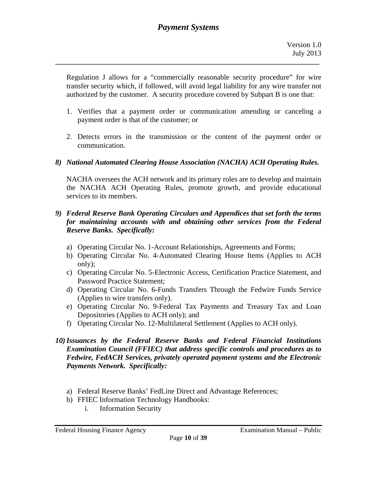Regulation J allows for a "commercially reasonable security procedure" for wire transfer security which, if followed, will avoid legal liability for any wire transfer not authorized by the customer. A security procedure covered by Subpart B is one that:

- 1. Verifies that a payment order or communication amending or canceling a payment order is that of the customer; or
- 2. Detects errors in the transmission or the content of the payment order or communication.

#### *8) National Automated Clearing House Association (NACHA) ACH Operating Rules.*

NACHA oversees the ACH network and its primary roles are to develop and maintain the NACHA ACH Operating Rules, promote growth, and provide educational services to its members.

#### *9) Federal Reserve Bank Operating Circulars and Appendices that set forth the terms for maintaining accounts with and obtaining other services from the Federal Reserve Banks. Specifically:*

- a) Operating Circular No. 1-Account Relationships, Agreements and Forms;
- b) Operating Circular No. 4-Automated Clearing House Items (Applies to ACH only);
- c) Operating Circular No. 5-Electronic Access, Certification Practice Statement, and Password Practice Statement;
- d) Operating Circular No. 6-Funds Transfers Through the Fedwire Funds Service (Applies to wire transfers only).
- e) Operating Circular No. 9-Federal Tax Payments and Treasury Tax and Loan Depositories (Applies to ACH only); and
- f) Operating Circular No. 12-Multilateral Settlement (Applies to ACH only).

#### *10) Issuances by the Federal Reserve Banks and Federal Financial Institutions Examination Council (FFIEC) that address specific controls and procedures as to Fedwire, FedACH Services, privately operated payment systems and the Electronic Payments Network. Specifically:*

- a) Federal Reserve Banks' FedLine Direct and Advantage References;
- b) FFIEC Information Technology Handbooks:
	- i. Information Security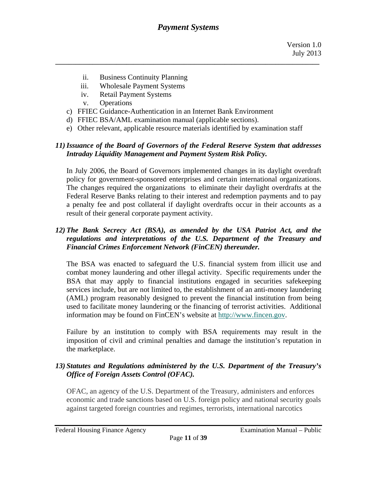- ii. Business Continuity Planning
- iii. Wholesale Payment Systems
- iv. Retail Payment Systems
- v. Operations
- c) FFIEC Guidance-Authentication in an Internet Bank Environment
- d) FFIEC BSA/AML examination manual (applicable sections).
- e) Other relevant, applicable resource materials identified by examination staff

#### *11) Issuance of the Board of Governors of the Federal Reserve System that addresses Intraday Liquidity Management and Payment System Risk Policy.*

In July 2006, the Board of Governors implemented changes in its daylight overdraft policy for government-sponsored enterprises and certain international organizations. The changes required the organizations to eliminate their daylight overdrafts at the Federal Reserve Banks relating to their interest and redemption payments and to pay a penalty fee and post collateral if daylight overdrafts occur in their accounts as a result of their general corporate payment activity.

#### *12) The Bank Secrecy Act (BSA), as amended by the USA Patriot Act, and the regulations and interpretations of the U.S. Department of the Treasury and Financial Crimes Enforcement Network (FinCEN) thereunder.*

The BSA was enacted to safeguard the U.S. financial system from illicit use and combat money laundering and other illegal activity. Specific requirements under the BSA that may apply to financial institutions engaged in securities safekeeping services include, but are not limited to, the establishment of an anti-money laundering (AML) program reasonably designed to prevent the financial institution from being used to facilitate money laundering or the financing of terrorist activities. Additional information may be found on FinCEN's website at http://www.fincen.gov.

Failure by an institution to comply with BSA requirements may result in the imposition of civil and criminal penalties and damage the institution's reputation in the marketplace.

#### *13) Statutes and Regulations administered by the U.S. Department of the Treasury's Office of Foreign Assets Control (OFAC).*

OFAC, an agency of the U.S. Department of the Treasury, administers and enforces economic and trade sanctions based on U.S. foreign policy and national security goals against targeted foreign countries and regimes, terrorists, international narcotics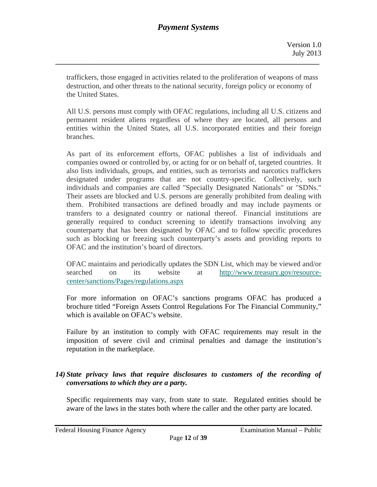traffickers, those engaged in activities related to the proliferation of weapons of mass destruction, and other threats to the national security, foreign policy or economy of the United States.

All U.S. persons must comply with OFAC regulations, including all U.S. citizens and permanent resident aliens regardless of where they are located, all persons and entities within the United States, all U.S. incorporated entities and their foreign branches.

As part of its enforcement efforts, OFAC publishes a list of individuals and companies owned or controlled by, or acting for or on behalf of, targeted countries. It also lists individuals, groups, and entities, such as terrorists and narcotics traffickers designated under programs that are not country-specific. Collectively, such individuals and companies are called "Specially Designated Nationals" or "SDNs." Their assets are blocked and U.S. persons are generally prohibited from dealing with them. Prohibited transactions are defined broadly and may include payments or transfers to a designated country or national thereof. Financial institutions are generally required to conduct screening to identify transactions involving any counterparty that has been designated by OFAC and to follow specific procedures such as blocking or freezing such counterparty's assets and providing reports to OFAC and the institution's board of directors.

OFAC maintains and periodically updates the SDN List, which may be viewed and/or searched on its website at http://www.treasury.gov/resourcecenter/sanctions/Pages/regulations.aspx

For more information on OFAC's sanctions programs OFAC has produced a brochure titled "Foreign Assets Control Regulations For The Financial Community," which is available on OFAC's website.

Failure by an institution to comply with OFAC requirements may result in the imposition of severe civil and criminal penalties and damage the institution's reputation in the marketplace.

#### *14) State privacy laws that require disclosures to customers of the recording of conversations to which they are a party.*

Specific requirements may vary, from state to state. Regulated entities should be aware of the laws in the states both where the caller and the other party are located.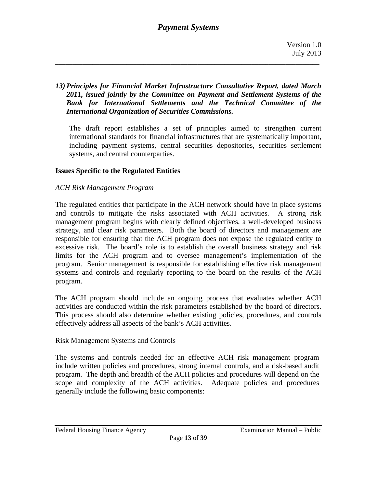**\_\_\_\_\_\_\_\_\_\_\_\_\_\_\_\_\_\_\_\_\_\_\_\_\_\_\_\_\_\_\_\_\_\_\_\_\_\_\_\_\_\_\_\_\_\_\_\_\_\_\_\_\_\_\_\_\_\_\_\_\_\_\_\_\_\_\_\_\_\_\_\_\_\_\_\_\_\_** 

#### *13) Principles for Financial Market Infrastructure Consultative Report, dated March 2011, issued jointly by the Committee on Payment and Settlement Systems of the Bank for International Settlements and the Technical Committee of the International Organization of Securities Commissions.*

The draft report establishes a set of principles aimed to strengthen current international standards for financial infrastructures that are systematically important, including payment systems, central securities depositories, securities settlement systems, and central counterparties.

#### **Issues Specific to the Regulated Entities**

#### *ACH Risk Management Program*

The regulated entities that participate in the ACH network should have in place systems and controls to mitigate the risks associated with ACH activities. A strong risk management program begins with clearly defined objectives, a well-developed business strategy, and clear risk parameters. Both the board of directors and management are responsible for ensuring that the ACH program does not expose the regulated entity to excessive risk. The board's role is to establish the overall business strategy and risk limits for the ACH program and to oversee management's implementation of the program. Senior management is responsible for establishing effective risk management systems and controls and regularly reporting to the board on the results of the ACH program.

The ACH program should include an ongoing process that evaluates whether ACH activities are conducted within the risk parameters established by the board of directors. This process should also determine whether existing policies, procedures, and controls effectively address all aspects of the bank's ACH activities.

#### Risk Management Systems and Controls

The systems and controls needed for an effective ACH risk management program include written policies and procedures, strong internal controls, and a risk-based audit program. The depth and breadth of the ACH policies and procedures will depend on the scope and complexity of the ACH activities. Adequate policies and procedures generally include the following basic components: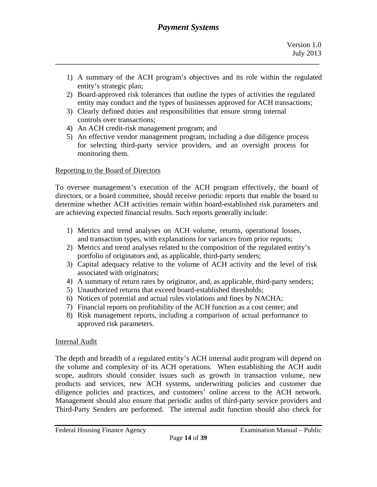- 1) A summary of the ACH program's objectives and its role within the regulated entity's strategic plan;
- 2) Board-approved risk tolerances that outline the types of activities the regulated entity may conduct and the types of businesses approved for ACH transactions;
- 3) Clearly defined duties and responsibilities that ensure strong internal controls over transactions;
- 4) An ACH credit-risk management program; and
- 5) An effective vendor management program, including a due diligence process for selecting third-party service providers, and an oversight process for monitoring them.

## Reporting to the Board of Directors

To oversee management's execution of the ACH program effectively, the board of directors, or a board committee, should receive periodic reports that enable the board to determine whether ACH activities remain within board-established risk parameters and are achieving expected financial results. Such reports generally include:

- 1) Metrics and trend analyses on ACH volume, returns, operational losses, and transaction types, with explanations for variances from prior reports;
- 2) Metrics and trend analyses related to the composition of the regulated entity's portfolio of originators and, as applicable, third-party senders;
- 3) Capital adequacy relative to the volume of ACH activity and the level of risk associated with originators;
- 4) A summary of return rates by originator, and, as applicable, third-party senders;
- 5) Unauthorized returns that exceed board-established thresholds;
- 6) Notices of potential and actual rules violations and fines by NACHA;
- 7) Financial reports on profitability of the ACH function as a cost center; and
- 8) Risk management reports, including a comparison of actual performance to approved risk parameters.

## Internal Audit

The depth and breadth of a regulated entity's ACH internal audit program will depend on the volume and complexity of its ACH operations. When establishing the ACH audit scope, auditors should consider issues such as growth in transaction volume, new products and services, new ACH systems, underwriting policies and customer due diligence policies and practices, and customers' online access to the ACH network. Management should also ensure that periodic audits of third-party service providers and Third-Party Senders are performed. The internal audit function should also check for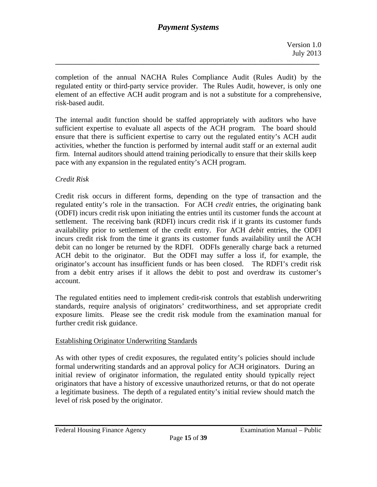completion of the annual NACHA Rules Compliance Audit (Rules Audit) by the regulated entity or third-party service provider. The Rules Audit, however, is only one element of an effective ACH audit program and is not a substitute for a comprehensive, risk-based audit.

**\_\_\_\_\_\_\_\_\_\_\_\_\_\_\_\_\_\_\_\_\_\_\_\_\_\_\_\_\_\_\_\_\_\_\_\_\_\_\_\_\_\_\_\_\_\_\_\_\_\_\_\_\_\_\_\_\_\_\_\_\_\_\_\_\_\_\_\_\_\_\_\_\_\_\_\_\_\_** 

The internal audit function should be staffed appropriately with auditors who have sufficient expertise to evaluate all aspects of the ACH program. The board should ensure that there is sufficient expertise to carry out the regulated entity's ACH audit activities, whether the function is performed by internal audit staff or an external audit firm. Internal auditors should attend training periodically to ensure that their skills keep pace with any expansion in the regulated entity's ACH program.

## *Credit Risk*

 originator's account has insufficient funds or has been closed. The RDFI's credit risk Credit risk occurs in different forms, depending on the type of transaction and the regulated entity's role in the transaction. For ACH *credit* entries, the originating bank (ODFI) incurs credit risk upon initiating the entries until its customer funds the account at settlement. The receiving bank (RDFI) incurs credit risk if it grants its customer funds availability prior to settlement of the credit entry. For ACH *debit* entries, the ODFI incurs credit risk from the time it grants its customer funds availability until the ACH debit can no longer be returned by the RDFI. ODFIs generally charge back a returned ACH debit to the originator. But the ODFI may suffer a loss if, for example, the from a debit entry arises if it allows the debit to post and overdraw its customer's account.

The regulated entities need to implement credit-risk controls that establish underwriting standards, require analysis of originators' creditworthiness, and set appropriate credit exposure limits. Please see the credit risk module from the examination manual for further credit risk guidance.

#### Establishing Originator Underwriting Standards

As with other types of credit exposures, the regulated entity's policies should include formal underwriting standards and an approval policy for ACH originators. During an initial review of originator information, the regulated entity should typically reject originators that have a history of excessive unauthorized returns, or that do not operate a legitimate business. The depth of a regulated entity's initial review should match the level of risk posed by the originator.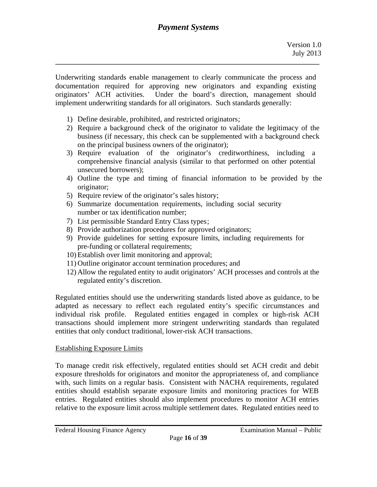Underwriting standards enable management to clearly communicate the process and documentation required for approving new originators and expanding existing originators' ACH activities. Under the board's direction, management should implement underwriting standards for all originators. Such standards generally:

**\_\_\_\_\_\_\_\_\_\_\_\_\_\_\_\_\_\_\_\_\_\_\_\_\_\_\_\_\_\_\_\_\_\_\_\_\_\_\_\_\_\_\_\_\_\_\_\_\_\_\_\_\_\_\_\_\_\_\_\_\_\_\_\_\_\_\_\_\_\_\_\_\_\_\_\_\_\_** 

- 1) Define desirable, prohibited, and restricted originators;
- 2) Require a background check of the originator to validate the legitimacy of the business (if necessary, this check can be supplemented with a background check on the principal business owners of the originator);
- 3) Require evaluation of the originator's creditworthiness, including a comprehensive financial analysis (similar to that performed on other potential unsecured borrowers);
- 4) Outline the type and timing of financial information to be provided by the originator;
- 5) Require review of the originator's sales history;
- 6) Summarize documentation requirements, including social security number or tax identification number;
- 7) List permissible Standard Entry Class types;
- 8) Provide authorization procedures for approved originators;
- 9) Provide guidelines for setting exposure limits, including requirements for pre-funding or collateral requirements;
- 10) Establish over limit monitoring and approval;
- 11) Outline originator account termination procedures; and
- 12) Allow the regulated entity to audit originators' ACH processes and controls at the regulated entity's discretion.

Regulated entities should use the underwriting standards listed above as guidance, to be adapted as necessary to reflect each regulated entity's specific circumstances and individual risk profile. Regulated entities engaged in complex or high-risk ACH transactions should implement more stringent underwriting standards than regulated entities that only conduct traditional, lower-risk ACH transactions.

## Establishing Exposure Limits

To manage credit risk effectively, regulated entities should set ACH credit and debit exposure thresholds for originators and monitor the appropriateness of, and compliance with, such limits on a regular basis. Consistent with NACHA requirements, regulated entities should establish separate exposure limits and monitoring practices for WEB entries. Regulated entities should also implement procedures to monitor ACH entries relative to the exposure limit across multiple settlement dates. Regulated entities need to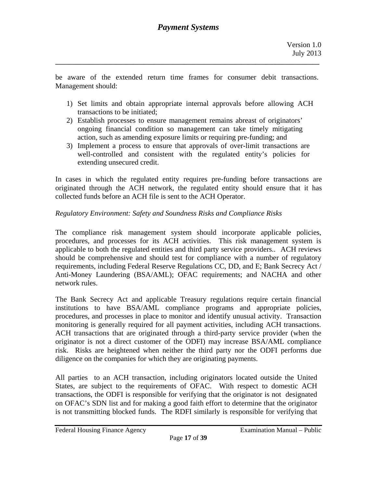be aware of the extended return time frames for consumer debit transactions. Management should:

**\_\_\_\_\_\_\_\_\_\_\_\_\_\_\_\_\_\_\_\_\_\_\_\_\_\_\_\_\_\_\_\_\_\_\_\_\_\_\_\_\_\_\_\_\_\_\_\_\_\_\_\_\_\_\_\_\_\_\_\_\_\_\_\_\_\_\_\_\_\_\_\_\_\_\_\_\_\_** 

- 1) Set limits and obtain appropriate internal approvals before allowing ACH transactions to be initiated;
- 2) Establish processes to ensure management remains abreast of originators' ongoing financial condition so management can take timely mitigating action, such as amending exposure limits or requiring pre-funding; and
- 3) Implement a process to ensure that approvals of over-limit transactions are well-controlled and consistent with the regulated entity's policies for extending unsecured credit.

In cases in which the regulated entity requires pre-funding before transactions are originated through the ACH network, the regulated entity should ensure that it has collected funds before an ACH file is sent to the ACH Operator.

### *Regulatory Environment: Safety and Soundness Risks and Compliance Risks*

The compliance risk management system should incorporate applicable policies, procedures, and processes for its ACH activities. This risk management system is applicable to both the regulated entities and third party service providers.. ACH reviews should be comprehensive and should test for compliance with a number of regulatory requirements, including Federal Reserve Regulations CC, DD, and E; Bank Secrecy Act / Anti-Money Laundering (BSA/AML); OFAC requirements; and NACHA and other network rules.

 monitoring is generally required for all payment activities, including ACH transactions. ACH transactions that are originated through a third-party service provider (when the diligence on the companies for which they are originating payments. The Bank Secrecy Act and applicable Treasury regulations require certain financial institutions to have BSA/AML compliance programs and appropriate policies, procedures, and processes in place to monitor and identify unusual activity. Transaction originator is not a direct customer of the ODFI) may increase BSA/AML compliance risk. Risks are heightened when neither the third party nor the ODFI performs due

All parties to an ACH transaction, including originators located outside the United States, are subject to the requirements of OFAC. With respect to domestic ACH transactions, the ODFI is responsible for verifying that the originator is not designated on OFAC's SDN list and for making a good faith effort to determine that the originator is not transmitting blocked funds. The RDFI similarly is responsible for verifying that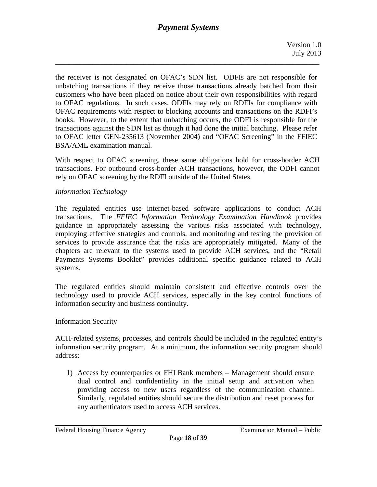**\_\_\_\_\_\_\_\_\_\_\_\_\_\_\_\_\_\_\_\_\_\_\_\_\_\_\_\_\_\_\_\_\_\_\_\_\_\_\_\_\_\_\_\_\_\_\_\_\_\_\_\_\_\_\_\_\_\_\_\_\_\_\_\_\_\_\_\_\_\_\_\_\_\_\_\_\_\_** 

the receiver is not designated on OFAC's SDN list. ODFIs are not responsible for unbatching transactions if they receive those transactions already batched from their customers who have been placed on notice about their own responsibilities with regard to OFAC regulations. In such cases, ODFIs may rely on RDFIs for compliance with OFAC requirements with respect to blocking accounts and transactions on the RDFI's books. However, to the extent that unbatching occurs, the ODFI is responsible for the transactions against the SDN list as though it had done the initial batching. Please refer to OFAC letter GEN-235613 (November 2004) and "OFAC Screening" in the FFIEC BSA/AML examination manual.

With respect to OFAC screening, these same obligations hold for cross-border ACH transactions. For outbound cross-border ACH transactions, however, the ODFI cannot rely on OFAC screening by the RDFI outside of the United States.

#### *Information Technology*

The regulated entities use internet-based software applications to conduct ACH transactions. The *FFIEC Information Technology Examination Handbook* provides guidance in appropriately assessing the various risks associated with technology, employing effective strategies and controls, and monitoring and testing the provision of services to provide assurance that the risks are appropriately mitigated. Many of the chapters are relevant to the systems used to provide ACH services, and the "Retail Payments Systems Booklet" provides additional specific guidance related to ACH systems.

The regulated entities should maintain consistent and effective controls over the technology used to provide ACH services, especially in the key control functions of information security and business continuity.

#### Information Security

ACH-related systems, processes, and controls should be included in the regulated entity's information security program. At a minimum, the information security program should address:

1) Access by counterparties or FHLBank members – Management should ensure dual control and confidentiality in the initial setup and activation when providing access to new users regardless of the communication channel. Similarly, regulated entities should secure the distribution and reset process for any authenticators used to access ACH services.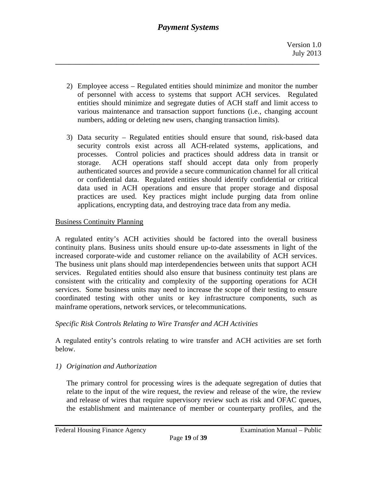**\_\_\_\_\_\_\_\_\_\_\_\_\_\_\_\_\_\_\_\_\_\_\_\_\_\_\_\_\_\_\_\_\_\_\_\_\_\_\_\_\_\_\_\_\_\_\_\_\_\_\_\_\_\_\_\_\_\_\_\_\_\_\_\_\_\_\_\_\_\_\_\_\_\_\_\_\_\_** 

- 2) Employee access Regulated entities should minimize and monitor the number of personnel with access to systems that support ACH services. Regulated entities should minimize and segregate duties of ACH staff and limit access to various maintenance and transaction support functions (i.e., changing account numbers, adding or deleting new users, changing transaction limits).
- 3) Data security Regulated entities should ensure that sound, risk-based data security controls exist across all ACH-related systems, applications, and processes. Control policies and practices should address data in transit or storage. ACH operations staff should accept data only from properly authenticated sources and provide a secure communication channel for all critical or confidential data. Regulated entities should identify confidential or critical data used in ACH operations and ensure that proper storage and disposal practices are used. Key practices might include purging data from online applications, encrypting data, and destroying trace data from any media.

#### Business Continuity Planning

 increased corporate-wide and customer reliance on the availability of ACH services. The business unit plans should map interdependencies between units that support ACH A regulated entity's ACH activities should be factored into the overall business continuity plans. Business units should ensure up-to-date assessments in light of the services. Regulated entities should also ensure that business continuity test plans are consistent with the criticality and complexity of the supporting operations for ACH services. Some business units may need to increase the scope of their testing to ensure coordinated testing with other units or key infrastructure components, such as mainframe operations, network services, or telecommunications.

#### *Specific Risk Controls Relating to Wire Transfer and ACH Activities*

A regulated entity's controls relating to wire transfer and ACH activities are set forth below.

#### *1) Origination and Authorization*

The primary control for processing wires is the adequate segregation of duties that relate to the input of the wire request, the review and release of the wire, the review and release of wires that require supervisory review such as risk and OFAC queues, the establishment and maintenance of member or counterparty profiles, and the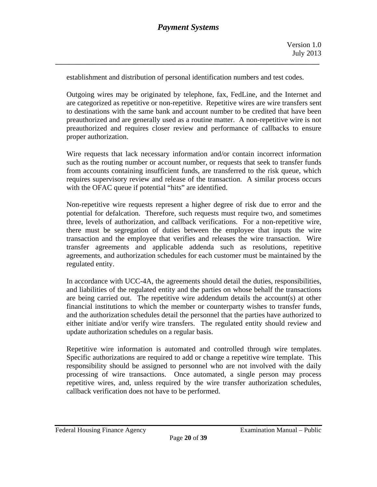establishment and distribution of personal identification numbers and test codes.

**\_\_\_\_\_\_\_\_\_\_\_\_\_\_\_\_\_\_\_\_\_\_\_\_\_\_\_\_\_\_\_\_\_\_\_\_\_\_\_\_\_\_\_\_\_\_\_\_\_\_\_\_\_\_\_\_\_\_\_\_\_\_\_\_\_\_\_\_\_\_\_\_\_\_\_\_\_\_** 

Outgoing wires may be originated by telephone, fax, FedLine, and the Internet and are categorized as repetitive or non-repetitive. Repetitive wires are wire transfers sent to destinations with the same bank and account number to be credited that have been preauthorized and are generally used as a routine matter. A non-repetitive wire is not preauthorized and requires closer review and performance of callbacks to ensure proper authorization.

Wire requests that lack necessary information and/or contain incorrect information such as the routing number or account number, or requests that seek to transfer funds from accounts containing insufficient funds, are transferred to the risk queue, which requires supervisory review and release of the transaction. A similar process occurs with the OFAC queue if potential "hits" are identified.

Non-repetitive wire requests represent a higher degree of risk due to error and the potential for defalcation. Therefore, such requests must require two, and sometimes three, levels of authorization, and callback verifications. For a non-repetitive wire, there must be segregation of duties between the employee that inputs the wire transaction and the employee that verifies and releases the wire transaction. Wire transfer agreements and applicable addenda such as resolutions, repetitive agreements, and authorization schedules for each customer must be maintained by the regulated entity.

In accordance with UCC-4A, the agreements should detail the duties, responsibilities, and liabilities of the regulated entity and the parties on whose behalf the transactions are being carried out. The repetitive wire addendum details the account(s) at other financial institutions to which the member or counterparty wishes to transfer funds, and the authorization schedules detail the personnel that the parties have authorized to either initiate and/or verify wire transfers. The regulated entity should review and update authorization schedules on a regular basis.

Repetitive wire information is automated and controlled through wire templates. Specific authorizations are required to add or change a repetitive wire template. This responsibility should be assigned to personnel who are not involved with the daily processing of wire transactions. Once automated, a single person may process repetitive wires, and, unless required by the wire transfer authorization schedules, callback verification does not have to be performed.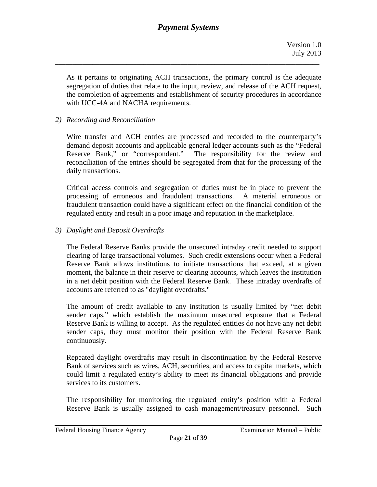As it pertains to originating ACH transactions, the primary control is the adequate segregation of duties that relate to the input, review, and release of the ACH request, the completion of agreements and establishment of security procedures in accordance with UCC-4A and NACHA requirements.

#### *2) Recording and Reconciliation*

Wire transfer and ACH entries are processed and recorded to the counterparty's demand deposit accounts and applicable general ledger accounts such as the "Federal Reserve Bank," or "correspondent." The responsibility for the review and reconciliation of the entries should be segregated from that for the processing of the daily transactions.

Critical access controls and segregation of duties must be in place to prevent the processing of erroneous and fraudulent transactions. A material erroneous or fraudulent transaction could have a significant effect on the financial condition of the regulated entity and result in a poor image and reputation in the marketplace.

#### *3) Daylight and Deposit Overdrafts*

The Federal Reserve Banks provide the unsecured intraday credit needed to support clearing of large transactional volumes. Such credit extensions occur when a Federal Reserve Bank allows institutions to initiate transactions that exceed, at a given moment, the balance in their reserve or clearing accounts, which leaves the institution in a net debit position with the Federal Reserve Bank. These intraday overdrafts of accounts are referred to as "daylight overdrafts."

The amount of credit available to any institution is usually limited by "net debit sender caps," which establish the maximum unsecured exposure that a Federal Reserve Bank is willing to accept. As the regulated entities do not have any net debit sender caps, they must monitor their position with the Federal Reserve Bank continuously.

Repeated daylight overdrafts may result in discontinuation by the Federal Reserve Bank of services such as wires, ACH, securities, and access to capital markets, which could limit a regulated entity's ability to meet its financial obligations and provide services to its customers.

The responsibility for monitoring the regulated entity's position with a Federal Reserve Bank is usually assigned to cash management/treasury personnel. Such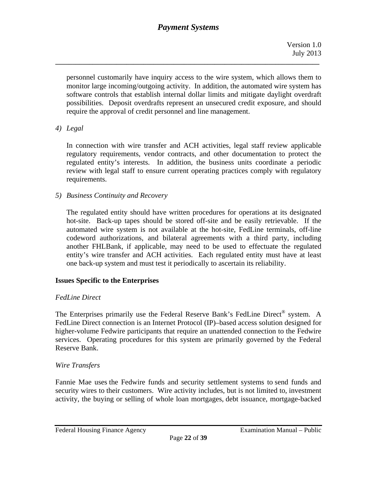**\_\_\_\_\_\_\_\_\_\_\_\_\_\_\_\_\_\_\_\_\_\_\_\_\_\_\_\_\_\_\_\_\_\_\_\_\_\_\_\_\_\_\_\_\_\_\_\_\_\_\_\_\_\_\_\_\_\_\_\_\_\_\_\_\_\_\_\_\_\_\_\_\_\_\_\_\_\_** 

personnel customarily have inquiry access to the wire system, which allows them to monitor large incoming/outgoing activity. In addition, the automated wire system has software controls that establish internal dollar limits and mitigate daylight overdraft possibilities. Deposit overdrafts represent an unsecured credit exposure, and should require the approval of credit personnel and line management.

*4) Legal* 

In connection with wire transfer and ACH activities, legal staff review applicable regulatory requirements, vendor contracts, and other documentation to protect the regulated entity's interests. In addition, the business units coordinate a periodic review with legal staff to ensure current operating practices comply with regulatory requirements.

*5) Business Continuity and Recovery* 

The regulated entity should have written procedures for operations at its designated hot-site. Back-up tapes should be stored off-site and be easily retrievable. If the automated wire system is not available at the hot-site, FedLine terminals, off-line codeword authorizations, and bilateral agreements with a third party, including another FHLBank, if applicable, may need to be used to effectuate the regulated entity's wire transfer and ACH activities. Each regulated entity must have at least one back-up system and must test it periodically to ascertain its reliability.

#### **Issues Specific to the Enterprises**

#### *FedLine Direct*

The Enterprises primarily use the Federal Reserve Bank's FedLine Direct<sup>®</sup> system. A FedLine Direct connection is an Internet Protocol (IP)–based access solution designed for higher-volume Fedwire participants that require an unattended connection to the Fedwire services. Operating procedures for this system are primarily governed by the Federal Reserve Bank.

#### *Wire Transfers*

Fannie Mae uses the Fedwire funds and security settlement systems to send funds and security wires to their customers. Wire activity includes, but is not limited to, investment activity, the buying or selling of whole loan mortgages, debt issuance, mortgage-backed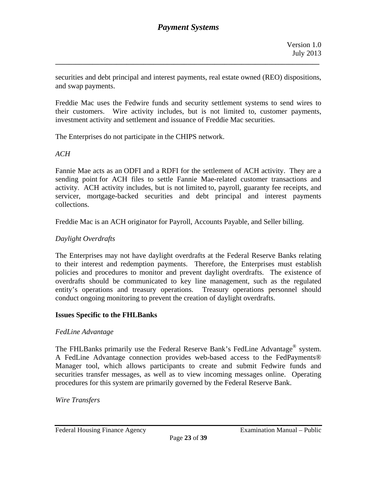securities and debt principal and interest payments, real estate owned (REO) dispositions, and swap payments.

**\_\_\_\_\_\_\_\_\_\_\_\_\_\_\_\_\_\_\_\_\_\_\_\_\_\_\_\_\_\_\_\_\_\_\_\_\_\_\_\_\_\_\_\_\_\_\_\_\_\_\_\_\_\_\_\_\_\_\_\_\_\_\_\_\_\_\_\_\_\_\_\_\_\_\_\_\_\_** 

Freddie Mac uses the Fedwire funds and security settlement systems to send wires to their customers. Wire activity includes, but is not limited to, customer payments, investment activity and settlement and issuance of Freddie Mac securities.

The Enterprises do not participate in the CHIPS network.

#### *ACH*

Fannie Mae acts as an ODFI and a RDFI for the settlement of ACH activity. They are a sending point for ACH files to settle Fannie Mae-related customer transactions and activity. ACH activity includes, but is not limited to, payroll, guaranty fee receipts, and servicer, mortgage-backed securities and debt principal and interest payments collections.

Freddie Mac is an ACH originator for Payroll, Accounts Payable, and Seller billing.

### *Daylight Overdrafts*

The Enterprises may not have daylight overdrafts at the Federal Reserve Banks relating to their interest and redemption payments. Therefore, the Enterprises must establish policies and procedures to monitor and prevent daylight overdrafts. The existence of overdrafts should be communicated to key line management, such as the regulated entity's operations and treasury operations. Treasury operations personnel should conduct ongoing monitoring to prevent the creation of daylight overdrafts.

#### **Issues Specific to the FHLBanks**

#### *FedLine Advantage*

The FHLBanks primarily use the Federal Reserve Bank's FedLine Advantage<sup>®</sup> system. A FedLine Advantage connection provides web-based access to the FedPayments® Manager tool, which allows participants to create and submit Fedwire funds and securities transfer messages, as well as to view incoming messages online. Operating procedures for this system are primarily governed by the Federal Reserve Bank.

*Wire Transfers* 

Federal Housing Finance Agency **Examination Manual** – Public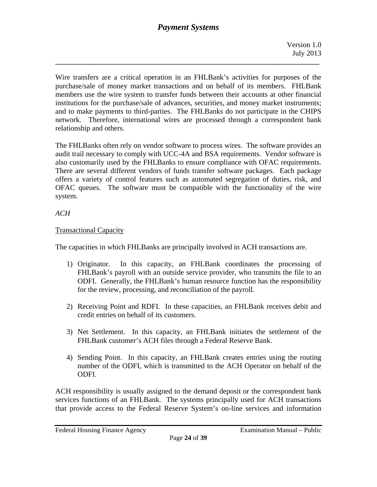**\_\_\_\_\_\_\_\_\_\_\_\_\_\_\_\_\_\_\_\_\_\_\_\_\_\_\_\_\_\_\_\_\_\_\_\_\_\_\_\_\_\_\_\_\_\_\_\_\_\_\_\_\_\_\_\_\_\_\_\_\_\_\_\_\_\_\_\_\_\_\_\_\_\_\_\_\_\_** 

Wire transfers are a critical operation in an FHLBank's activities for purposes of the purchase/sale of money market transactions and on behalf of its members. FHLBank members use the wire system to transfer funds between their accounts at other financial institutions for the purchase/sale of advances, securities, and money market instruments; and to make payments to third-parties. The FHLBanks do not participate in the CHIPS network. Therefore, international wires are processed through a correspondent bank relationship and others.

The FHLBanks often rely on vendor software to process wires. The software provides an audit trail necessary to comply with UCC-4A and BSA requirements. Vendor software is also customarily used by the FHLBanks to ensure compliance with OFAC requirements. There are several different vendors of funds transfer software packages. Each package offers a variety of control features such as automated segregation of duties, risk, and OFAC queues. The software must be compatible with the functionality of the wire system.

#### *ACH*

#### Transactional Capacity

The capacities in which FHLBanks are principally involved in ACH transactions are.

- 1) Originator. In this capacity, an FHLBank coordinates the processing of FHLBank's payroll with an outside service provider, who transmits the file to an ODFI. Generally, the FHLBank's human resource function has the responsibility for the review, processing, and reconciliation of the payroll.
- 2) Receiving Point and RDFI. In these capacities, an FHLBank receives debit and credit entries on behalf of its customers.
- 3) Net Settlement. In this capacity, an FHLBank initiates the settlement of the FHLBank customer's ACH files through a Federal Reserve Bank.
- 4) Sending Point. In this capacity, an FHLBank creates entries using the routing number of the ODFI, which is transmitted to the ACH Operator on behalf of the ODFI.

ACH responsibility is usually assigned to the demand deposit or the correspondent bank services functions of an FHLBank. The systems principally used for ACH transactions that provide access to the Federal Reserve System's on-line services and information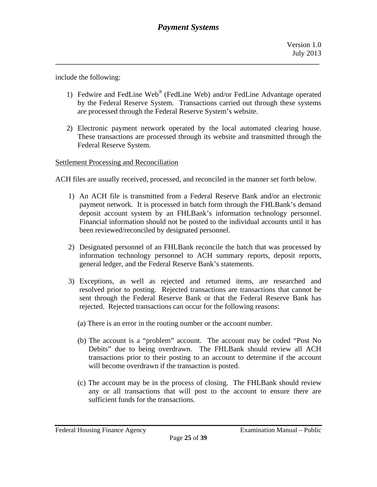**\_\_\_\_\_\_\_\_\_\_\_\_\_\_\_\_\_\_\_\_\_\_\_\_\_\_\_\_\_\_\_\_\_\_\_\_\_\_\_\_\_\_\_\_\_\_\_\_\_\_\_\_\_\_\_\_\_\_\_\_\_\_\_\_\_\_\_\_\_\_\_\_\_\_\_\_\_\_** 

include the following:

- 1) Fedwire and FedLine Web<sup>®</sup> (FedLine Web) and/or FedLine Advantage operated by the Federal Reserve System. Transactions carried out through these systems are processed through the Federal Reserve System's website.
- 2) Electronic payment network operated by the local automated clearing house. These transactions are processed through its website and transmitted through the Federal Reserve System.

#### Settlement Processing and Reconciliation

ACH files are usually received, processed, and reconciled in the manner set forth below.

- 1) An ACH file is transmitted from a Federal Reserve Bank and/or an electronic payment network. It is processed in batch form through the FHLBank's demand deposit account system by an FHLBank's information technology personnel. Financial information should not be posted to the individual accounts until it has been reviewed/reconciled by designated personnel.
- 2) Designated personnel of an FHLBank reconcile the batch that was processed by information technology personnel to ACH summary reports, deposit reports, general ledger, and the Federal Reserve Bank's statements.
- 3) Exceptions, as well as rejected and returned items, are researched and resolved prior to posting. Rejected transactions are transactions that cannot be sent through the Federal Reserve Bank or that the Federal Reserve Bank has rejected. Rejected transactions can occur for the following reasons:
	- (a) There is an error in the routing number or the account number.
	- (b) The account is a "problem" account. The account may be coded "Post No Debits" due to being overdrawn. The FHLBank should review all ACH transactions prior to their posting to an account to determine if the account will become overdrawn if the transaction is posted.
	- (c) The account may be in the process of closing. The FHLBank should review any or all transactions that will post to the account to ensure there are sufficient funds for the transactions.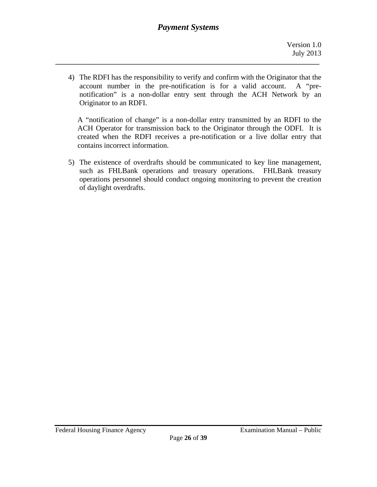4) The RDFI has the responsibility to verify and confirm with the Originator that the account number in the pre-notification is for a valid account. A "prenotification" is a non-dollar entry sent through the ACH Network by an Originator to an RDFI.

A "notification of change" is a non-dollar entry transmitted by an RDFI to the ACH Operator for transmission back to the Originator through the ODFI. It is created when the RDFI receives a pre-notification or a live dollar entry that contains incorrect information.

5) The existence of overdrafts should be communicated to key line management, such as FHLBank operations and treasury operations. FHLBank treasury operations personnel should conduct ongoing monitoring to prevent the creation of daylight overdrafts.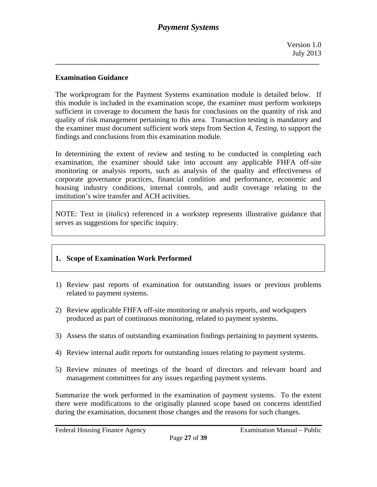**\_\_\_\_\_\_\_\_\_\_\_\_\_\_\_\_\_\_\_\_\_\_\_\_\_\_\_\_\_\_\_\_\_\_\_\_\_\_\_\_\_\_\_\_\_\_\_\_\_\_\_\_\_\_\_\_\_\_\_\_\_\_\_\_\_\_\_\_\_\_\_\_\_\_\_\_\_\_** 

#### **Examination Guidance**

The workprogram for the Payment Systems examination module is detailed below. If this module is included in the examination scope, the examiner must perform worksteps sufficient in coverage to document the basis for conclusions on the quantity of risk and quality of risk management pertaining to this area. Transaction testing is mandatory and the examiner must document sufficient work steps from Section 4, *Testing*, to support the findings and conclusions from this examination module.

In determining the extent of review and testing to be conducted in completing each examination, the examiner should take into account any applicable FHFA off-site monitoring or analysis reports, such as analysis of the quality and effectiveness of corporate governance practices, financial condition and performance, economic and housing industry conditions, internal controls, and audit coverage relating to the institution's wire transfer and ACH activities.

NOTE: Text in (*italics*) referenced in a workstep represents illustrative guidance that serves as suggestions for specific inquiry.

#### **1. Scope of Examination Work Performed**

- 1) Review past reports of examination for outstanding issues or previous problems related to payment systems.
- 2) Review applicable FHFA off-site monitoring or analysis reports, and workpapers produced as part of continuous monitoring, related to payment systems.
- 3) Assess the status of outstanding examination findings pertaining to payment systems.
- 4) Review internal audit reports for outstanding issues relating to payment systems.
- 5) Review minutes of meetings of the board of directors and relevant board and management committees for any issues regarding payment systems.

Summarize the work performed in the examination of payment systems. To the extent there were modifications to the originally planned scope based on concerns identified during the examination, document those changes and the reasons for such changes.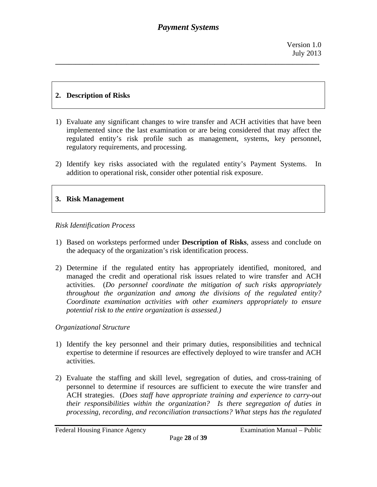#### **2. Description of Risks**

- 1) Evaluate any significant changes to wire transfer and ACH activities that have been implemented since the last examination or are being considered that may affect the regulated entity's risk profile such as management, systems, key personnel, regulatory requirements, and processing.
- 2) Identify key risks associated with the regulated entity's Payment Systems. In addition to operational risk, consider other potential risk exposure.

### **3. Risk Management**

*Risk Identification Process* 

- 1) Based on worksteps performed under **Description of Risks**, assess and conclude on the adequacy of the organization's risk identification process.
- *potential risk to the entire organization is assessed.) Organizational Structure*  2) Determine if the regulated entity has appropriately identified, monitored, and managed the credit and operational risk issues related to wire transfer and ACH activities. (*Do personnel coordinate the mitigation of such risks appropriately throughout the organization and among the divisions of the regulated entity? Coordinate examination activities with other examiners appropriately to ensure*

- 1) Identify the key personnel and their primary duties, responsibilities and technical expertise to determine if resources are effectively deployed to wire transfer and ACH activities.
- 2) Evaluate the staffing and skill level, segregation of duties, and cross-training of personnel to determine if resources are sufficient to execute the wire transfer and ACH strategies. (*Does staff have appropriate training and experience to carry-out their responsibilities within the organization? Is there segregation of duties in processing, recording, and reconciliation transactions? What steps has the regulated*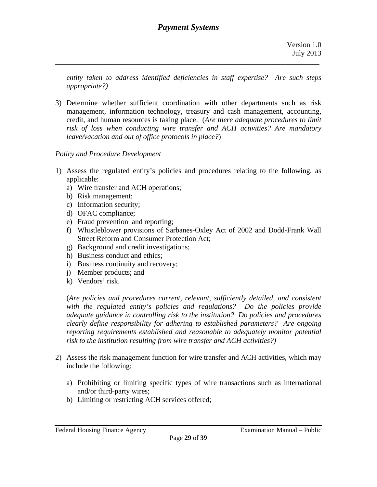*appropriate?) entity taken to address identified deficiencies in staff expertise? Are such steps* 

3) Determine whether sufficient coordination with other departments such as risk management, information technology, treasury and cash management, accounting, credit, and human resources is taking place. (*Are there adequate procedures to limit risk of loss when conducting wire transfer and ACH activities? Are mandatory leave/vacation and out of office protocols in place?*)

### *Policy and Procedure Development*

- 1) Assess the regulated entity's policies and procedures relating to the following, as applicable:
	- a) Wire transfer and ACH operations;
	- b) Risk management;
	- c) Information security;
	- d) OFAC compliance;
	- e) Fraud prevention and reporting;
	- f) Whistleblower provisions of Sarbanes-Oxley Act of 2002 and Dodd-Frank Wall Street Reform and Consumer Protection Act;
	- g) Background and credit investigations;
	- h) Business conduct and ethics;
	- i) Business continuity and recovery;
	- j) Member products; and
	- k) Vendors' risk.

 *risk to the institution resulting from wire transfer and ACH activities?)* (*Are policies and procedures current, relevant, sufficiently detailed, and consistent with the regulated entity's policies and regulations? Do the policies provide adequate guidance in controlling risk to the institution? Do policies and procedures clearly define responsibility for adhering to established parameters? Are ongoing reporting requirements established and reasonable to adequately monitor potential* 

- 2) Assess the risk management function for wire transfer and ACH activities, which may include the following:
	- a) Prohibiting or limiting specific types of wire transactions such as international and/or third-party wires;
	- b) Limiting or restricting ACH services offered;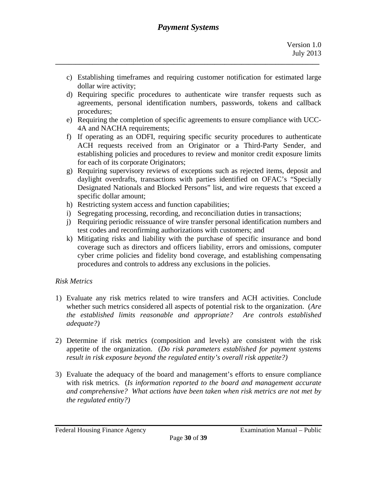- c) Establishing timeframes and requiring customer notification for estimated large dollar wire activity;
- d) Requiring specific procedures to authenticate wire transfer requests such as agreements, personal identification numbers, passwords, tokens and callback procedures;
- e) Requiring the completion of specific agreements to ensure compliance with UCC-4A and NACHA requirements;
- f) If operating as an ODFI, requiring specific security procedures to authenticate ACH requests received from an Originator or a Third-Party Sender, and establishing policies and procedures to review and monitor credit exposure limits for each of its corporate Originators;
- g) Requiring supervisory reviews of exceptions such as rejected items, deposit and daylight overdrafts, transactions with parties identified on OFAC's "Specially Designated Nationals and Blocked Persons" list, and wire requests that exceed a specific dollar amount;
- h) Restricting system access and function capabilities;
- i) Segregating processing, recording, and reconciliation duties in transactions;
- j) Requiring periodic reissuance of wire transfer personal identification numbers and test codes and reconfirming authorizations with customers; and
- k) Mitigating risks and liability with the purchase of specific insurance and bond coverage such as directors and officers liability, errors and omissions, computer cyber crime policies and fidelity bond coverage, and establishing compensating procedures and controls to address any exclusions in the policies.

## *Risk Metrics*

- *adequate?)* 1) Evaluate any risk metrics related to wire transfers and ACH activities. Conclude whether such metrics considered all aspects of potential risk to the organization. (*Are the established limits reasonable and appropriate? Are controls established*
- 2) Determine if risk metrics (composition and levels) are consistent with the risk appetite of the organization. (*Do risk parameters established for payment systems result in risk exposure beyond the regulated entity's overall risk appetite?)*
- *the regulated entity?)*  3) Evaluate the adequacy of the board and management's efforts to ensure compliance with risk metrics. (*Is information reported to the board and management accurate and comprehensive? What actions have been taken when risk metrics are not met by*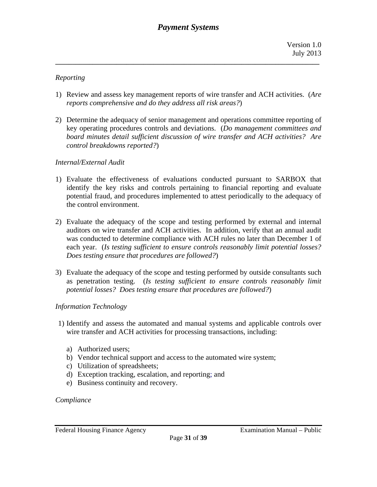**\_\_\_\_\_\_\_\_\_\_\_\_\_\_\_\_\_\_\_\_\_\_\_\_\_\_\_\_\_\_\_\_\_\_\_\_\_\_\_\_\_\_\_\_\_\_\_\_\_\_\_\_\_\_\_\_\_\_\_\_\_\_\_\_\_\_\_\_\_\_\_\_\_\_\_\_\_\_** 

#### *Reporting*

- 1) Review and assess key management reports of wire transfer and ACH activities. (*Are reports comprehensive and do they address all risk areas?*)
- 2) Determine the adequacy of senior management and operations committee reporting of key operating procedures controls and deviations. (*Do management committees and board minutes detail sufficient discussion of wire transfer and ACH activities? Are control breakdowns reported?*)

#### *Internal/External Audit*

- 1) Evaluate the effectiveness of evaluations conducted pursuant to SARBOX that identify the key risks and controls pertaining to financial reporting and evaluate potential fraud, and procedures implemented to attest periodically to the adequacy of the control environment.
- each year. (*Is testing sufficient to ensure controls reasonably limit potential losses? Does testing ensure that procedures are followed?*) 2) Evaluate the adequacy of the scope and testing performed by external and internal auditors on wire transfer and ACH activities. In addition, verify that an annual audit was conducted to determine compliance with ACH rules no later than December 1 of
- 3) Evaluate the adequacy of the scope and testing performed by outside consultants such as penetration testing. (*Is testing sufficient to ensure controls reasonably limit potential losses? Does testing ensure that procedures are followed?*)

#### *Information Technology*

- 1) Identify and assess the automated and manual systems and applicable controls over wire transfer and ACH activities for processing transactions, including:
	- a) Authorized users;
	- b) Vendor technical support and access to the automated wire system;
	- c) Utilization of spreadsheets;
	- d) Exception tracking, escalation, and reporting; and
	- e) Business continuity and recovery.

#### *Compliance*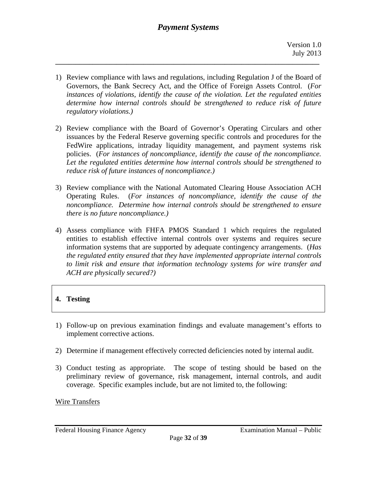*regulatory violations.)* 1) Review compliance with laws and regulations, including Regulation J of the Board of Governors, the Bank Secrecy Act, and the Office of Foreign Assets Control. (*For instances of violations, identify the cause of the violation. Let the regulated entities determine how internal controls should be strengthened to reduce risk of future* 

**\_\_\_\_\_\_\_\_\_\_\_\_\_\_\_\_\_\_\_\_\_\_\_\_\_\_\_\_\_\_\_\_\_\_\_\_\_\_\_\_\_\_\_\_\_\_\_\_\_\_\_\_\_\_\_\_\_\_\_\_\_\_\_\_\_\_\_\_\_\_\_\_\_\_\_\_\_\_** 

- 2) Review compliance with the Board of Governor's Operating Circulars and other issuances by the Federal Reserve governing specific controls and procedures for the FedWire applications, intraday liquidity management, and payment systems risk policies. (*For instances of noncompliance, identify the cause of the noncompliance. Let the regulated entities determine how internal controls should be strengthened to reduce risk of future instances of noncompliance.)*
- *there is no future noncompliance.)* 3) Review compliance with the National Automated Clearing House Association ACH Operating Rules. (*For instances of noncompliance, identify the cause of the noncompliance. Determine how internal controls should be strengthened to ensure*
- *ACH are physically secured?)* 4) Assess compliance with FHFA PMOS Standard 1 which requires the regulated entities to establish effective internal controls over systems and requires secure information systems that are supported by adequate contingency arrangements. (*Has the regulated entity ensured that they have implemented appropriate internal controls to limit risk and ensure that information technology systems for wire transfer and*

## **4. Testing**

- 1) Follow-up on previous examination findings and evaluate management's efforts to implement corrective actions.
- 2) Determine if management effectively corrected deficiencies noted by internal audit.
- 3) Conduct testing as appropriate. The scope of testing should be based on the preliminary review of governance, risk management, internal controls, and audit coverage. Specific examples include, but are not limited to, the following:

## Wire Transfers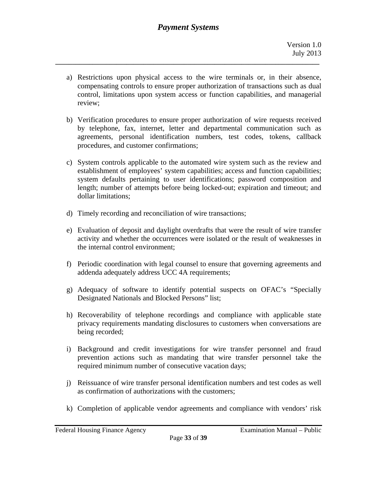- a) Restrictions upon physical access to the wire terminals or, in their absence, compensating controls to ensure proper authorization of transactions such as dual control, limitations upon system access or function capabilities, and managerial review;
- b) Verification procedures to ensure proper authorization of wire requests received by telephone, fax, internet, letter and departmental communication such as agreements, personal identification numbers, test codes, tokens, callback procedures, and customer confirmations;
- establishment of employees' system capabilities; access and function capabilities; c) System controls applicable to the automated wire system such as the review and system defaults pertaining to user identifications; password composition and length; number of attempts before being locked-out; expiration and timeout; and dollar limitations;
- d) Timely recording and reconciliation of wire transactions;
- e) Evaluation of deposit and daylight overdrafts that were the result of wire transfer activity and whether the occurrences were isolated or the result of weaknesses in the internal control environment;
- f) Periodic coordination with legal counsel to ensure that governing agreements and addenda adequately address UCC 4A requirements;
- g) Adequacy of software to identify potential suspects on OFAC's "Specially Designated Nationals and Blocked Persons" list;
- h) Recoverability of telephone recordings and compliance with applicable state privacy requirements mandating disclosures to customers when conversations are being recorded;
- i) Background and credit investigations for wire transfer personnel and fraud prevention actions such as mandating that wire transfer personnel take the required minimum number of consecutive vacation days;
- j) Reissuance of wire transfer personal identification numbers and test codes as well as confirmation of authorizations with the customers;
- k) Completion of applicable vendor agreements and compliance with vendors' risk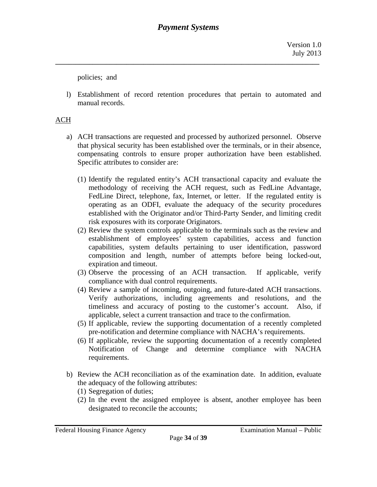policies; and

l) Establishment of record retention procedures that pertain to automated and manual records.

#### ACH

- a) ACH transactions are requested and processed by authorized personnel. Observe that physical security has been established over the terminals, or in their absence, compensating controls to ensure proper authorization have been established. Specific attributes to consider are:
	- (1) Identify the regulated entity's ACH transactional capacity and evaluate the methodology of receiving the ACH request, such as FedLine Advantage, FedLine Direct, telephone, fax, Internet, or letter. If the regulated entity is operating as an ODFI, evaluate the adequacy of the security procedures established with the Originator and/or Third-Party Sender, and limiting credit risk exposures with its corporate Originators.
	- (2) Review the system controls applicable to the terminals such as the review and establishment of employees' system capabilities, access and function capabilities, system defaults pertaining to user identification, password composition and length, number of attempts before being locked-out, expiration and timeout.
	- (3) Observe the processing of an ACH transaction. If applicable, verify compliance with dual control requirements.
	- (4) Review a sample of incoming, outgoing, and future-dated ACH transactions. Verify authorizations, including agreements and resolutions, and the timeliness and accuracy of posting to the customer's account. Also, if applicable, select a current transaction and trace to the confirmation.
	- (5) If applicable, review the supporting documentation of a recently completed pre-notification and determine compliance with NACHA's requirements.
	- (6) If applicable, review the supporting documentation of a recently completed Notification of Change and determine compliance with NACHA requirements.
- b) Review the ACH reconciliation as of the examination date. In addition, evaluate the adequacy of the following attributes:
	- (1) Segregation of duties;
	- (2) In the event the assigned employee is absent, another employee has been designated to reconcile the accounts;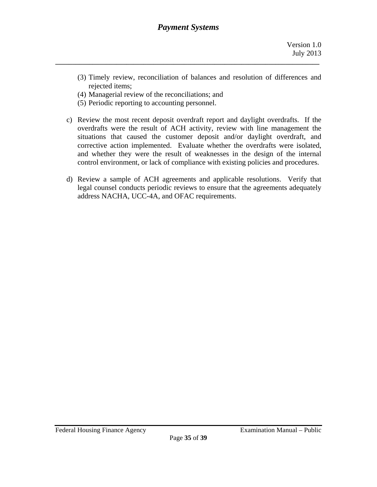- (3) Timely review, reconciliation of balances and resolution of differences and rejected items;
- (4) Managerial review of the reconciliations; and
- (5) Periodic reporting to accounting personnel.
- c) Review the most recent deposit overdraft report and daylight overdrafts. If the overdrafts were the result of ACH activity, review with line management the situations that caused the customer deposit and/or daylight overdraft, and corrective action implemented. Evaluate whether the overdrafts were isolated, and whether they were the result of weaknesses in the design of the internal control environment, or lack of compliance with existing policies and procedures.
- d) Review a sample of ACH agreements and applicable resolutions. Verify that legal counsel conducts periodic reviews to ensure that the agreements adequately address NACHA, UCC-4A, and OFAC requirements.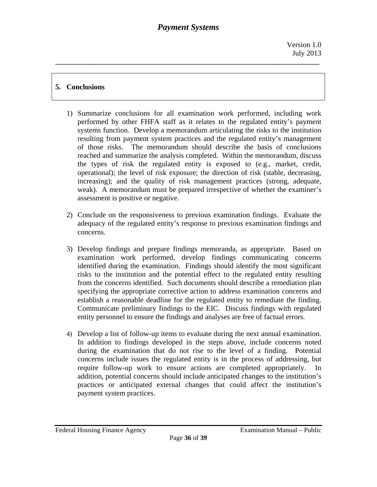**\_\_\_\_\_\_\_\_\_\_\_\_\_\_\_\_\_\_\_\_\_\_\_\_\_\_\_\_\_\_\_\_\_\_\_\_\_\_\_\_\_\_\_\_\_\_\_\_\_\_\_\_\_\_\_\_\_\_\_\_\_\_\_\_\_\_\_\_\_\_\_\_\_\_\_\_\_\_** 

## **5. Conclusions**

- 1) Summarize conclusions for all examination work performed, including work performed by other FHFA staff as it relates to the regulated entity's payment systems function. Develop a memorandum articulating the risks to the institution resulting from payment system practices and the regulated entity's management of those risks. The memorandum should describe the basis of conclusions reached and summarize the analysis completed. Within the memorandum, discuss the types of risk the regulated entity is exposed to (e.g., market, credit, operational); the level of risk exposure; the direction of risk (stable, decreasing, increasing); and the quality of risk management practices (strong, adequate, weak). A memorandum must be prepared irrespective of whether the examiner's assessment is positive or negative.
- 2) Conclude on the responsiveness to previous examination findings. Evaluate the adequacy of the regulated entity's response to previous examination findings and concerns.
- 3) Develop findings and prepare findings memoranda, as appropriate. Based on examination work performed, develop findings communicating concerns identified during the examination. Findings should identify the most significant risks to the institution and the potential effect to the regulated entity resulting from the concerns identified. Such documents should describe a remediation plan specifying the appropriate corrective action to address examination concerns and establish a reasonable deadline for the regulated entity to remediate the finding. Communicate preliminary findings to the EIC. Discuss findings with regulated entity personnel to ensure the findings and analyses are free of factual errors.
- 4) Develop a list of follow-up items to evaluate during the next annual examination. In addition to findings developed in the steps above, include concerns noted during the examination that do not rise to the level of a finding. Potential concerns include issues the regulated entity is in the process of addressing, but require follow-up work to ensure actions are completed appropriately. In addition, potential concerns should include anticipated changes to the institution's practices or anticipated external changes that could affect the institution's payment system practices.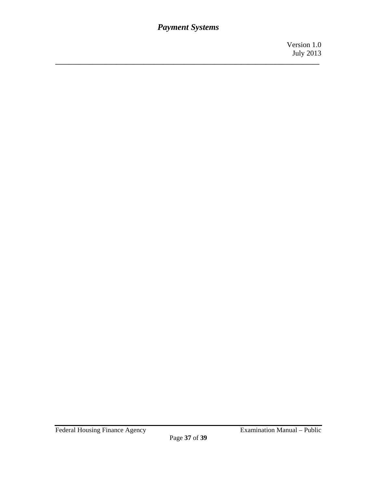**\_\_\_\_\_\_\_\_\_\_\_\_\_\_\_\_\_\_\_\_\_\_\_\_\_\_\_\_\_\_\_\_\_\_\_\_\_\_\_\_\_\_\_\_\_\_\_\_\_\_\_\_\_\_\_\_\_\_\_\_\_\_\_\_\_\_\_\_\_\_\_\_\_\_\_\_\_\_** 

Version 1.0 July 2013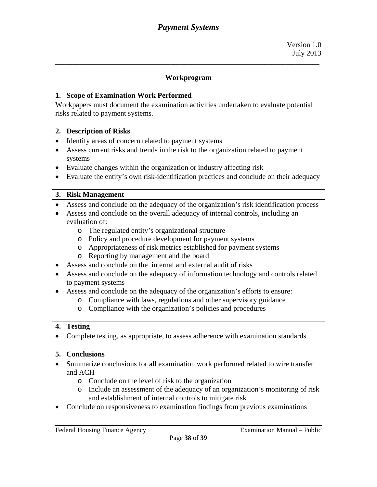## **Workprogram**

### **1. Scope of Examination Work Performed**

Workpapers must document the examination activities undertaken to evaluate potential risks related to payment systems.

#### **2. Description of Risks**

- Identify areas of concern related to payment systems
- Assess current risks and trends in the risk to the organization related to payment systems
- Evaluate changes within the organization or industry affecting risk
- Evaluate the entity's own risk-identification practices and conclude on their adequacy

### **3. Risk Management**

- Assess and conclude on the adequacy of the organization's risk identification process
- Assess and conclude on the overall adequacy of internal controls, including an evaluation of:
	- o The regulated entity's organizational structure
	- o Policy and procedure development for payment systems
	- o Appropriateness of risk metrics established for payment systems
	- o Reporting by management and the board
- Assess and conclude on the internal and external audit of risks
- Assess and conclude on the adequacy of information technology and controls related to payment systems
- Assess and conclude on the adequacy of the organization's efforts to ensure:
	- o Compliance with laws, regulations and other supervisory guidance
		- o Compliance with the organization's policies and procedures

## **4. Testing**

• Complete testing, as appropriate, to assess adherence with examination standards

## **5. Conclusions**

- Summarize conclusions for all examination work performed related to wire transfer and ACH
	- o Conclude on the level of risk to the organization
	- $\circ$  Include an assessment of the adequacy of an organization's monitoring of risk and establishment of internal controls to mitigate risk
- Conclude on responsiveness to examination findings from previous examinations